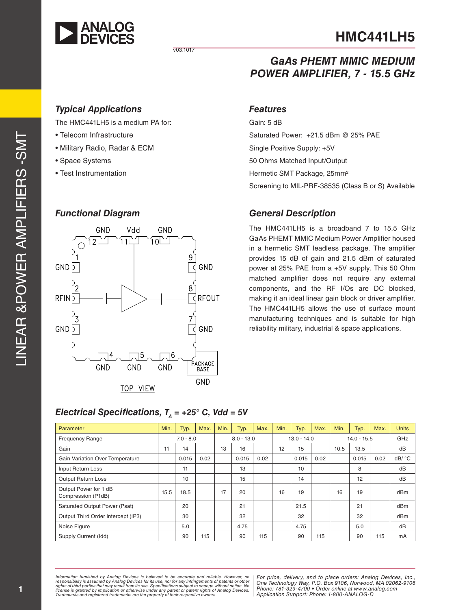

v03.1017

### *GaAs PHEMT MMIC MEDIUM POWER AMPLIFIER, 7 - 15.5 GHz*

### *Typical Applications*

The HMC441LH5 is a medium PA for:

- Telecom Infrastructure
- Military Radio, Radar & ECM
- Space Systems
- Test Instrumentation

#### *Functional Diagram*



#### Saturated Power: +21.5 dBm @ 25% PAE

*Features*

Gain: 5 dB

Single Positive Supply: +5V

50 Ohms Matched Input/Output Hermetic SMT Package, 25mm<sup>2</sup>

Screening to MIL-PRF-38535 (Class B or S) Available

#### *General Description*

The HMC441LH5 is a broadband 7 to 15.5 GHz GaAs PHEMT MMIC Medium Power Amplifier housed in a hermetic SMT leadless package. The amplifier provides 15 dB of gain and 21.5 dBm of saturated power at 25% PAE from a +5V supply. This 50 Ohm matched amplifier does not require any external components, and the RF I/Os are DC blocked, making it an ideal linear gain block or driver amplifier. The HMC441LH5 allows the use of surface mount manufacturing techniques and is suitable for high reliability military, industrial & space applications.

| Electrical Specifications, $TA = +25^{\circ}$ C, Vdd = 5V |  |  |  |  |  |  |
|-----------------------------------------------------------|--|--|--|--|--|--|
|-----------------------------------------------------------|--|--|--|--|--|--|

| Parameter                                   | Min. | Typ.        | Max. | Min. | Typ.         | Max. | Min. | Typ.          | Max. | Min. | Typ.          | Max. | <b>Units</b>    |
|---------------------------------------------|------|-------------|------|------|--------------|------|------|---------------|------|------|---------------|------|-----------------|
| <b>Frequency Range</b>                      |      | $7.0 - 8.0$ |      |      | $8.0 - 13.0$ |      |      | $13.0 - 14.0$ |      |      | $14.0 - 15.5$ |      | GHz             |
| Gain                                        | 11   | 14          |      | 13   | 16           |      | 12   | 15            |      | 10.5 | 13.5          |      | dB              |
| Gain Variation Over Temperature             |      | 0.015       | 0.02 |      | 0.015        | 0.02 |      | 0.015         | 0.02 |      | 0.015         | 0.02 | dB/ °C          |
| Input Return Loss                           |      | 11          |      |      | 13           |      |      | 10            |      |      | 8             |      | dB              |
| <b>Output Return Loss</b>                   |      | 10          |      |      | 15           |      |      | 14            |      |      | 12            |      | dB              |
| Output Power for 1 dB<br>Compression (P1dB) | 15.5 | 18.5        |      | 17   | 20           |      | 16   | 19            |      | 16   | 19            |      | d <sub>Bm</sub> |
| Saturated Output Power (Psat)               |      | 20          |      |      | 21           |      |      | 21.5          |      |      | 21            |      | dBm             |
| Output Third Order Intercept (IP3)          |      | 30          |      |      | 32           |      |      | 32            |      |      | 32            |      | dB <sub>m</sub> |
| Noise Figure                                |      | 5.0         |      |      | 4.75         |      |      | 4.75          |      |      | 5.0           |      | dB              |
| Supply Current (Idd)                        |      | 90          | 115  |      | 90           | 115  |      | 90            | 115  |      | 90            | 115  | mA              |

Information furnished by Analog Devices is believed to be accurate and reliable. However, no<br>responsibility is assumed by Analog Devices for its use, nor for any infringements of patents or other<br>rights of third parties th license is granted by implication or otherwise under any patent or patent rights of Analog Devices.<br>Trademarks and registered trademarks are the property of their respective owners.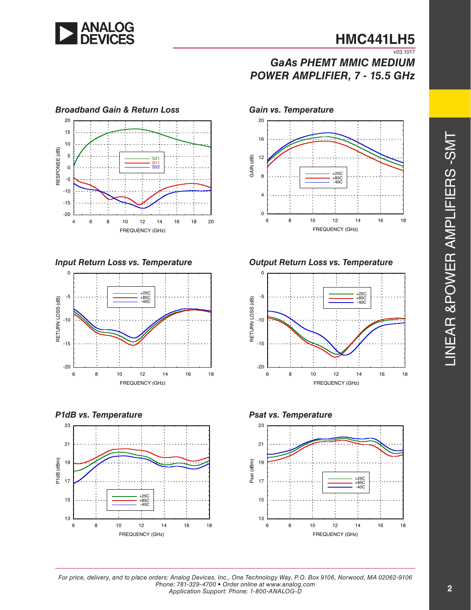

### **HMC441LH5**  $\sqrt{03.1017}$

# *GaAs PHEMT MMIC MEDIUM POWER AMPLIFIER, 7 - 15.5 GHz*













*Input Return Loss vs. Temperature Output Return Loss vs. Temperature*







*For price, delivery, and to place orders: Analog Devices, Inc., One Technology Way, P.O. Box 9106, Norwood, MA 02062-9106 Phone: 781-329-4700 • Order online at www.analog.com Application Support: Phone: 1-800-ANALOG-D*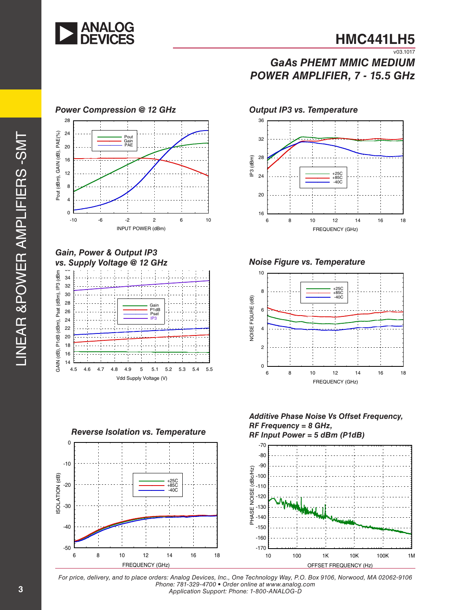

## *GaAs PHEMT MMIC MEDIUM POWER AMPLIFIER, 7 - 15.5 GHz*



#### *Power Compression @ 12 GHz Output IP3 vs. Temperature* 24 28 Pout



#### *Gain, Power & Output IP3 vs. Supply Voltage @ 12 GHz* --



*Reverse Isolation vs. Temperature*  $0$ <br>-10 SOLATION (dB) ISOLATION (dB) +25C -20 +85C  $-40C$ -30 -40 -50 6 8 10 12 14 16 18 FREQUENCY (GHz)

16 20 24 28 32 36 6 8 10 12 14 16 18 +25C +85C  $-40C$ IP3 (dBm) FREQUENCY (GHz)

### *Noise Figure vs. Temperature*



*Additive Phase Noise Vs Offset Frequency, RF Frequency = 8 GHz,* 



*For price, delivery, and to place orders: Analog Devices, Inc., One Technology Way, P.O. Box 9106, Norwood, MA 02062-9106 Phone: 781-329-4700 • Order online at www.analog.com Application Support: Phone: 1-800-ANALOG-D*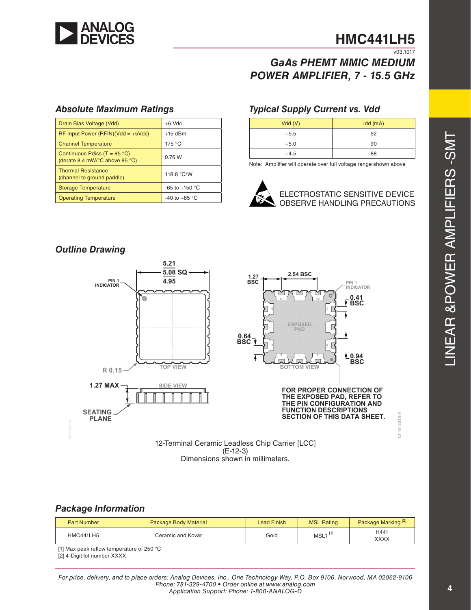

# **HMC441LH5**

v03.1017

**12-19-2016-A**

 $12 - 19 - 2016 - 4$ 

# *GaAs PHEMT MMIC MEDIUM POWER AMPLIFIER, 7 - 15.5 GHz*

### *Absolute Maximum Ratings*

| Drain Bias Voltage (Vdd)                                                                   | $+6$ Vdc           |  |  |
|--------------------------------------------------------------------------------------------|--------------------|--|--|
| RF Input Power (RFIN)(Vdd = $+5$ Vdc)                                                      | $+15$ dBm          |  |  |
| <b>Channel Temperature</b>                                                                 | 175 °C             |  |  |
| Continuous Pdiss (T = $85^{\circ}$ C)<br>(derate 8.4 mW/ $\degree$ C above 85 $\degree$ C) | 0.76 W             |  |  |
| <b>Thermal Resistance</b><br>(channel to ground paddle)                                    | 118.8 °C/W         |  |  |
| <b>Storage Temperature</b>                                                                 | $-65$ to $+150$ °C |  |  |
| <b>Operating Temperature</b>                                                               | $-40$ to $+85$ °C  |  |  |

### *Typical Supply Current vs. Vdd*

| Vdd(V) | Idd (mA) |
|--------|----------|
| $+5.5$ | 92       |
| $+5.0$ | 90       |
| $+4.5$ | 88       |

Note: Amplifier will operate over full voltage range shown above



### *Outline Drawing*



Dimensions shown in millimeters.

#### *Package Information*

| <b>Part Number</b> | Package Body Material | Lead Finish | <b>MSL Rating</b>    | Package Marking <sup>[2]</sup> |
|--------------------|-----------------------|-------------|----------------------|--------------------------------|
| HMC441LH5          | Ceramic and Kovar     | Gold        | $MSL1$ <sup>11</sup> | H441<br>XXXX                   |

[1] Max peak reflow temperature of 250 °C [2] 4-Digit lot number XXXX

*For price, delivery, and to place orders: Analog Devices, Inc., One Technology Way, P.O. Box 9106, Norwood, MA 02062-9106 Phone: 781-329-4700 • Order online at www.analog.com Application Support: Phone: 1-800-ANALOG-D*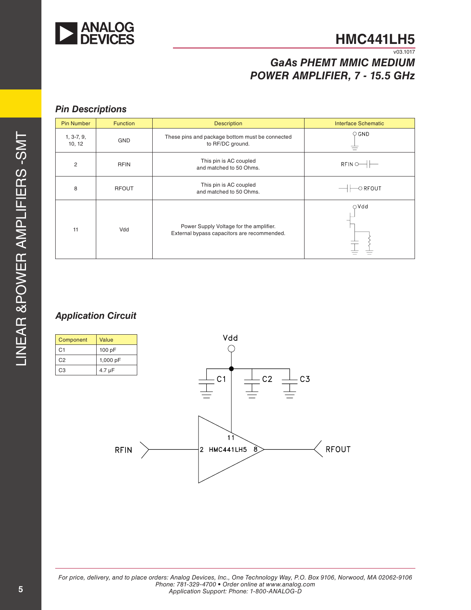

### **HMC441LH5** v03.1017

# *GaAs PHEMT MMIC MEDIUM POWER AMPLIFIER, 7 - 15.5 GHz*

### *Pin Descriptions*

| <b>Pin Number</b>      | <b>Function</b> | <b>Description</b>                                                                     | <b>Interface Schematic</b> |
|------------------------|-----------------|----------------------------------------------------------------------------------------|----------------------------|
| $1, 3-7, 9,$<br>10, 12 | <b>GND</b>      | These pins and package bottom must be connected<br>to RF/DC ground.                    | $\circ$ GND                |
| $\overline{2}$         | <b>RFIN</b>     | This pin is AC coupled<br>and matched to 50 Ohms.                                      | RFIN                       |
| 8                      | <b>RFOUT</b>    | This pin is AC coupled<br>and matched to 50 Ohms.                                      | $\circ$ RFOUT              |
| 11                     | Vdd             | Power Supply Voltage for the amplifier.<br>External bypass capacitors are recommended. | $\bigcirc$ Vdd             |

### *Application Circuit*